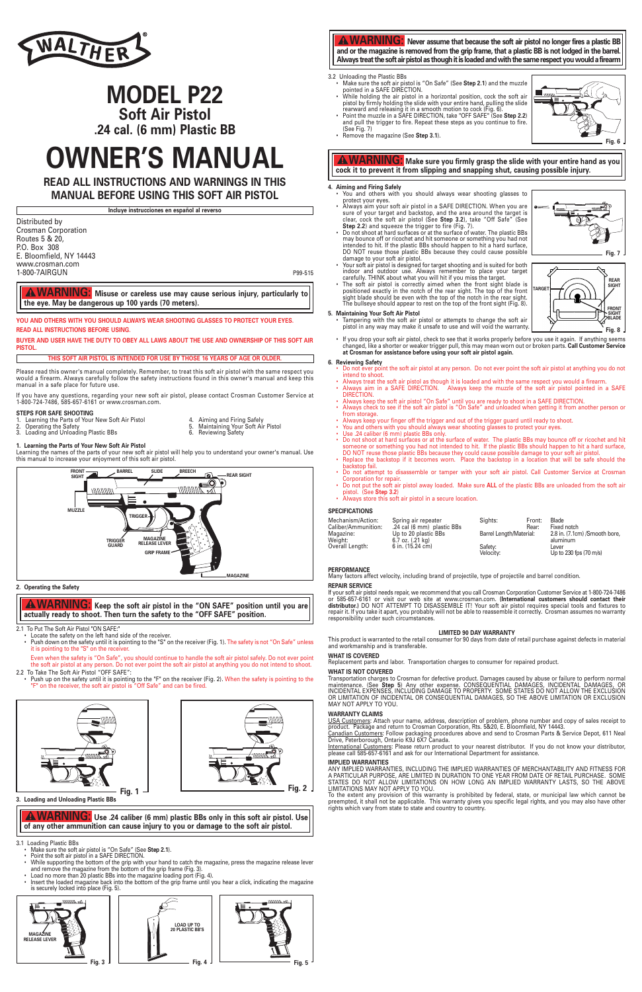P99-515

**YOU AND OTHERS WITH YOU SHOULD ALWAYS WEAR SHOOTING GLASSES TO PROTECT YOUR EYES. READ ALL INSTRUCTIONS BEFORE USING.**

**BUYER AND USER HAVE THE DUTY TO OBEY ALL LAWS ABOUT THE USE AND OWNERSHIP OF THIS SOFT AIR PISTOL.**

**THIS SOFT AIR PISTOL IS INTENDED FOR USE BY THOSE 16 YEARS OF AGE OR OLDER.**

**Incluye instrucciones en español al reverso**

### **2. Operating the Safety**

2.1 To Put The Soft Air Pistol "ON SAFE:"

• Locate the safety on the left hand side of the receiver. • Push down on the safety until it is pointing to the "S" on the receiver (Fig. 1). The safety is not "On Safe" unless it is pointing to the "S" on the receiver.

Even when the safety is "On Safe", you should continue to handle the soft air pistol safely. Do not ever point the soft air pistol at any person. Do not ever point the soft air pistol at anything you do not intend to shoot. 2.2 To Take The Soft Air Pistol "OFF SAFE":

• Push up on the safety until it is pointing to the "F" on the receiver (Fig. 2). When the safety is pointing to the "F" on the receiver, the soft air pistol is "Off Safe" and can be fired.

**3. Loading and Unloading Plastic BBs**

3.1 Loading Plastic BBs

- Make sure the soft air pistol is "On Safe" (See **Step 2.1**). Point the soft air pistol in a SAFE DIRECTION.
- 
- While supporting the bottom of the grip with your hand to catch the magazine, press the magazine release lever and remove the magazine from the bottom of the grip frame (Fig. 3).
- Load no more than 20 plastic BBs into the magazine loading port (Fig. 4).
- Insert the loaded magazine back into the bottom of the grip frame until you hear a click, indicating the magazine is securely locked into place (Fig. 5).

### 3.2 Unloading the Plastic BBs

- Make sure the soft air pistol is "On Safe" (See **Step 2.1**) and the muzzle pointed in a SAFE DIRECTION.
- While holding the air pistol in a horizontal position, cock the soft air pistol by firmly holding the slide with your entire hand, pulling the slide rearward and releasing it in a smooth motion to cock (Fig. 6). • Point the muzzle in a SAFE DIRECTION, take "OFF SAFE" (See **Step 2.2**)

(See Fig. 7) • Remove the magazine (See **Step 3.1**).

### **4. Aiming and Firing Safely**

- You and others with you should always wear shooting glasses to protect your eyes.
- Always aim your soft air pistol in a SAFE DIRECTION. When you are sure of your target and backstop, and the area around the target is clear, cock the soft air pistol (See **Step 3.2**), take "Off Safe" (See **Step 2.2**) and squeeze the trigger to fire (Fig. 7). • Do not shoot at hard surfaces or at the surface of water. The plastic BBs

may bounce off or ricochet and hit someone or something you had not intended to hit. If the plastic BBs should happen to hit a hard surface,

- damage to your soft air pistol. • Your soft air pistol is designed for target shooting and is suited for both indoor and outdoor use. Always remember to place your target
- carefully. THINK about what you will hit if you miss the target. • The soft air pistol is correctly aimed when the front sight blade is positioned exactly in the notch of the rear sight. The top of the front sight blade should be even with the top of the notch in the rear sight. The bullseye should appear to rest on the top of the front sight (Fig. 8).

### **5. Maintaining Your Soft Air Pistol**

- Tampering with the soft air pistol or attempts to change the soft air pistol in any way may make it unsafe to use and will void the warranty.
- If you drop your soft air pistol, check to see that it works properly before you use it again. If anything seems changed, like a shorter or weaker trigger pull, this may mean worn out or broken parts. **Call Customer Service at Crosman for assistance before using your soft air pistol again.**

## **6. Reviewing Safety**

- Do not ever point the soft air pistol at any person. Do not ever point the soft air pistol at anything you do not intend to shoot.
- Always treat the soft air pistol as though it is loaded and with the same respect you would a firearm. • Always aim in a SAFE DIRECTION. Always keep the muzzle of the soft air pistol pointed in a SAFE DIRECTION.
- Always keep the soft air pistol "On Safe" until you are ready to shoot in a SAFE DIRECTION. • Always check to see if the soft air pistol is "On Safe" and unloaded when getting it from another person or
- from storage. • Always keep your finger off the trigger and out of the trigger guard until ready to shoot.
- You and others with you should always wear shooting glasses to protect your eyes.
- Use .24 caliber (6 mm) plastic BBs only.
- Do not shoot at hard surfaces or at the surface of water. The plastic BBs may bounce off or ricochet and hit someone or something you had not intended to hit. If the plastic BBs should happen to hit a hard surface, DO NOT reuse those plastic BBs because they could cause possible damage to your soft air pistol.
- Replace the backstop if it becomes worn. Place the backstop in a location that will be safe should the backstop fail.
- Do not attempt to disassemble or tamper with your soft air pistol. Call Customer Service at Crosman Corporation for repair.
- Do not put the soft air pistol away loaded. Make sure **ALL** of the plastic BBs are unloaded from the soft air pistol. (See **Step 3.2**)
- Always store this soft air pistol in a secure location.

**A WARNING:** Never assume that because the soft air pistol no longer fires a plastic BB **and or the magazine is removed from the grip frame, that a plastic BB is not lodged in the barrel. Always treat the soft air pistol as though it is loaded and with the same respect you would a firearm**

### **SPECIFICATIONS**

Please read this owner's manual completely. Remember, to treat this soft air pistol with the same respect you would a firearm. Always carefully follow the safety instructions found in this owner's manual and keep this manual in a safe place for future use.

If you have any questions, regarding your new soft air pistol, please contact Crosman Customer Service at 1-800-724-7486, 585-657-6161 or www.crosman.com.

### **STEPS FOR SAFE SHOOTING**

- 1. Learning the Parts of Your New Soft Air Pistol 4. Aiming and Firing Safely
- 
- 2. Operating the Safety 5. Maintaining Your Soft Air Pistol 2. Operating the Safety<br>
3. Loading and Unloading Plastic BBs<br>
6. Reviewing Safety<br>
6. Reviewing Safety
	-
- **1. Learning the Parts of Your New Soft Air Pistol**

Learning the names of the parts of your new soft air pistol will help you to understand your owner's manual. Use this manual to increase your enjoyment of this soft air pistol.



| Spring air repeater        | Siahts:                 | Front: | Blade                         |
|----------------------------|-------------------------|--------|-------------------------------|
| .24 cal (6 mm) plastic BBs |                         | Rear:  | Fixed notch                   |
| Up to 20 plastic BBs       | Barrel Length/Material: |        | 2.8 in. (7.1cm) /Smooth bore. |
| 6.7 oz. $(.21 \text{ kg})$ |                         |        | aluminum                      |
| 6 in. (15.24 cm)           | Safety:                 |        | Lever                         |
|                            | Velocity:               |        | Up to 230 fps (70 m/s)        |
|                            |                         |        |                               |



### **PERFORMANCE**

Many factors affect velocity, including brand of projectile, type of projectile and barrel condition.

### **REPAIR SERVICE**

If your soft air pistol needs repair, we recommend that you call Crosman Corporation Customer Service at 1-800-724-7486 or 585-657-6161 or visit our web site at www.crosman.com. **(International customers should contact their distributor.)** DO NOT ATTEMPT TO DISASSEMBLE IT! Your soft air pistol requires special tools and fixtures to repair it. If you take it apart, you probably will not be able to reassemble it correctly. Crosman assumes no warranty responsibility under such circumstances.

### **LIMITED 90 DAY WARRANTY**

This product is warranted to the retail consumer for 90 days from date of retail purchase against defects in material and workmanship and is transferable.

### **WHAT IS COVERED**

Replacement parts and labor. Transportation charges to consumer for repaired product.

### **WHAT IS NOT COVERED**

Transportation charges to Crosman for defective product. Damages caused by abuse or failure to perform normal maintenance. (See **Step 5**) Any other expense. CONSEQUENTIAL DAMAGES, INCIDENTAL DAMAGES, OR INCIDENTAL EXPENSES, INCLUDING DAMAGE TO PROPERTY. SOME STATES DO NOT ALLOW THE EXCLUSION OR LIMITATION OF INCIDENTAL OR CONSEQUENTIAL DAMAGES, SO THE ABOVE LIMITATION OR EXCLUSION MAY NOT APPLY TO YOU.

### **WARRANTY CLAIMS**

USA Customers: Attach your name, address, description of problem, phone number and copy of sales receipt to product. Package and return to Crosman Corporation, Rts. 5&20, E. Bloomfield, NY 14443.



Canadian Customers: Follow packaging procedures above and send to Crosman Parts & Service Depot, 611 Neal Drive, Peterborough, Ontario K9J 6X7 Canada.

International Customers: Please return product to your nearest distributor. If you do not know your distributor, please call 585-657-6161 and ask for our International Department for assistance.

### **IMPLIED WARRANTIES**

ANY IMPLIED WARRANTIES, INCLUDING THE IMPLIED WARRANTIES OF MERCHANTABILITY AND FITNESS FOR A PARTICULAR PURPOSE, ARE LIMITED IN DURATION TO ONE YEAR FROM DATE OF RETAIL PURCHASE. SOME STATES DO NOT ALLOW LIMITATIONS ON HOW LONG AN IMPLIED WARRANTY LASTS, SO THE ABOVE LIMITATIONS MAY NOT APPLY TO YOU.

To the extent any provision of this warranty is prohibited by federal, state, or municipal law which cannot be preempted, it shall not be applicable. This warranty gives you specific legal rights, and you may also have other rights which vary from state to state and country to country.

**WARNING: Misuse or careless use may cause serious injury, particularly to the eye. May be dangerous up 100 yards (70 meters).** 

**WARNING: Make sure you firmly grasp the slide with your entire hand as you cock it to prevent it from slipping and snapping shut, causing possible injury.** 

# **WARNING: Keep the soft air pistol in the "ON SAFE" position until you are actually ready to shoot. Then turn the safety to the "OFF SAFE" position.**

**WARNING: Use .24 caliber (6 mm) plastic BBs only in this soft air pistol. Use of any other ammunition can cause injury to you or damage to the soft air pistol.**

**READ ALL INSTRUCTIONS AND WARNINGS IN THIS MANUAL BEFORE USING THIS SOFT AIR PISTOL** 



# **MODEL P22 Soft Air Pistol**

**.24 cal. (6 mm) Plastic BB**

# **OWNER'S MANUAL**











Distributed by Crosman Corporation Routes 5 & 20, P.O. Box 308 E. Bloomfield, NY 14443 www.crosman.com 1-800-7AIRGUN